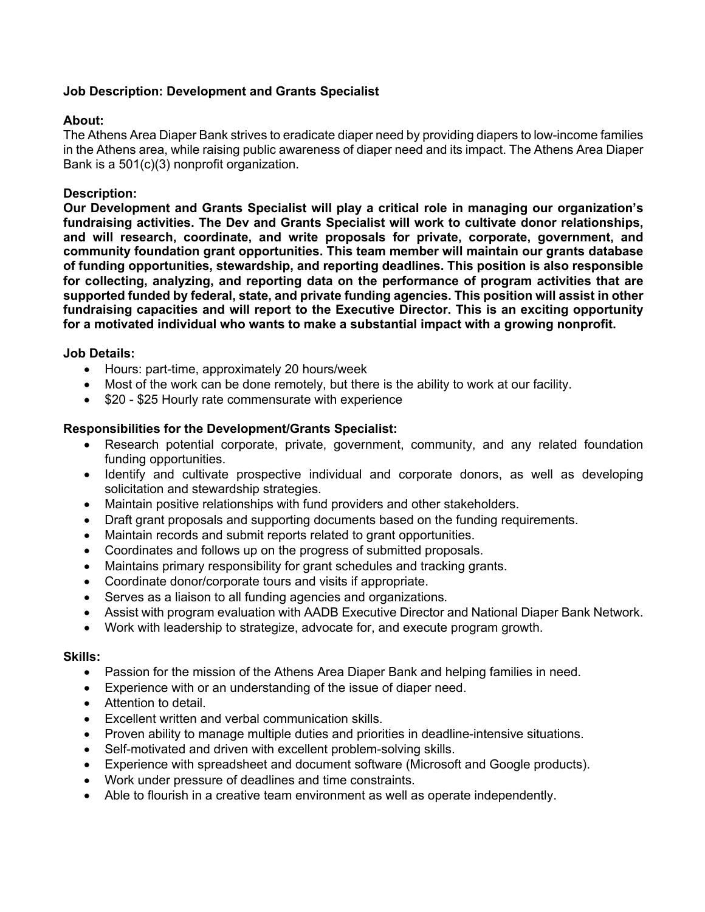# **Job Description: Development and Grants Specialist**

## **About:**

The Athens Area Diaper Bank strives to eradicate diaper need by providing diapers to low-income families in the Athens area, while raising public awareness of diaper need and its impact. The Athens Area Diaper Bank is a 501(c)(3) nonprofit organization.

## **Description:**

**Our Development and Grants Specialist will play a critical role in managing our organization's fundraising activities. The Dev and Grants Specialist will work to cultivate donor relationships, and will research, coordinate, and write proposals for private, corporate, government, and community foundation grant opportunities. This team member will maintain our grants database of funding opportunities, stewardship, and reporting deadlines. This position is also responsible for collecting, analyzing, and reporting data on the performance of program activities that are supported funded by federal, state, and private funding agencies. This position will assist in other fundraising capacities and will report to the Executive Director. This is an exciting opportunity for a motivated individual who wants to make a substantial impact with a growing nonprofit.** 

## **Job Details:**

- Hours: part-time, approximately 20 hours/week
- Most of the work can be done remotely, but there is the ability to work at our facility.
- \$20 \$25 Hourly rate commensurate with experience

## **Responsibilities for the Development/Grants Specialist:**

- Research potential corporate, private, government, community, and any related foundation funding opportunities.
- Identify and cultivate prospective individual and corporate donors, as well as developing solicitation and stewardship strategies.
- Maintain positive relationships with fund providers and other stakeholders.
- Draft grant proposals and supporting documents based on the funding requirements.
- Maintain records and submit reports related to grant opportunities.
- Coordinates and follows up on the progress of submitted proposals.
- Maintains primary responsibility for grant schedules and tracking grants.
- Coordinate donor/corporate tours and visits if appropriate.
- Serves as a liaison to all funding agencies and organizations.
- Assist with program evaluation with AADB Executive Director and National Diaper Bank Network.
- Work with leadership to strategize, advocate for, and execute program growth.

#### **Skills:**

- Passion for the mission of the Athens Area Diaper Bank and helping families in need.
- Experience with or an understanding of the issue of diaper need.
- Attention to detail.
- Excellent written and verbal communication skills.
- Proven ability to manage multiple duties and priorities in deadline-intensive situations.
- Self-motivated and driven with excellent problem-solving skills.
- Experience with spreadsheet and document software (Microsoft and Google products).
- Work under pressure of deadlines and time constraints.
- Able to flourish in a creative team environment as well as operate independently.